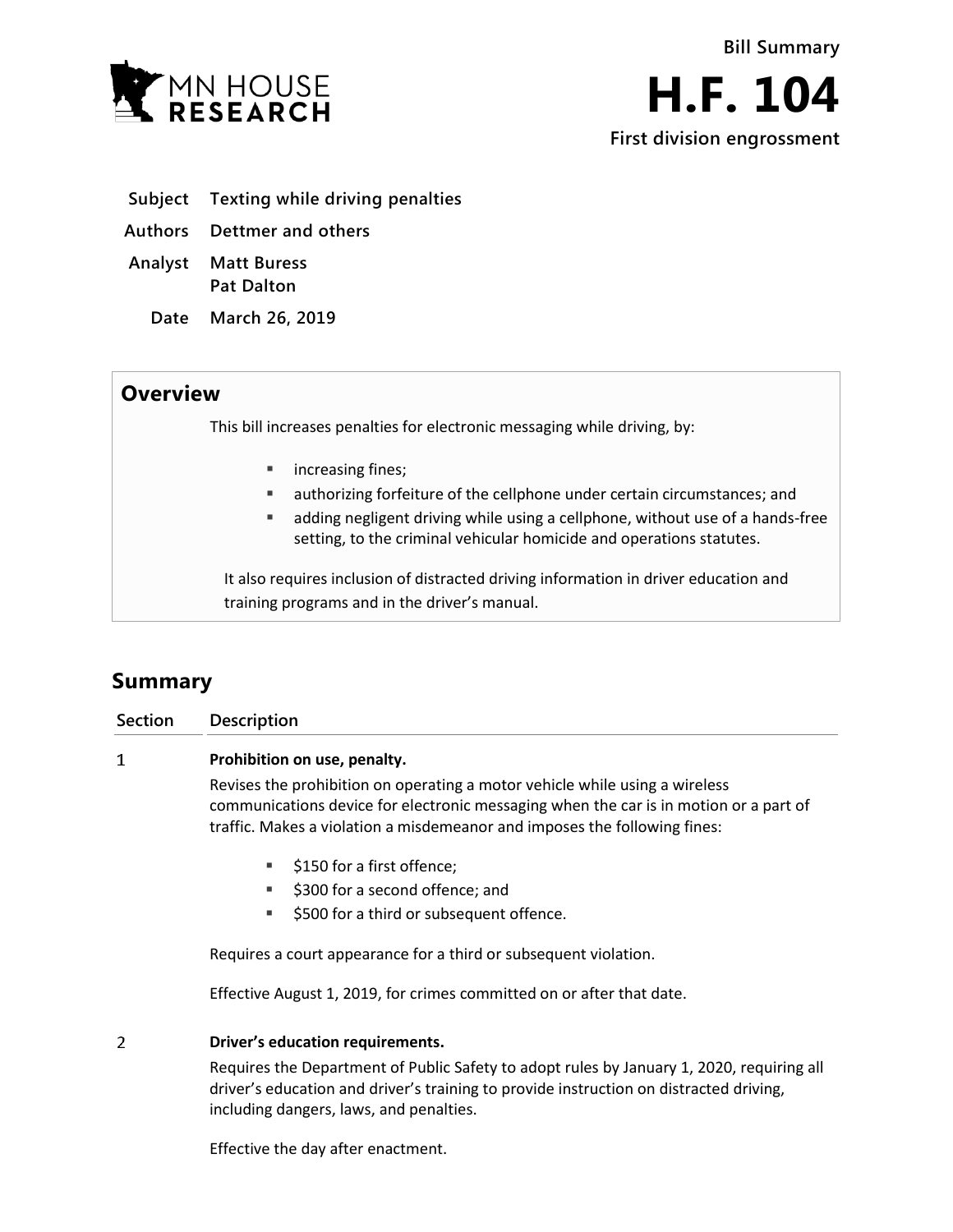

- **Subject Texting while driving penalties**
- **Authors Dettmer and others**
- **Analyst Matt Buress Pat Dalton**
	- **Date March 26, 2019**

## **Overview**

This bill increases penalties for electronic messaging while driving, by:

- **nd** increasing fines;
- authorizing forfeiture of the cellphone under certain circumstances; and
- adding negligent driving while using a cellphone, without use of a hands-free setting, to the criminal vehicular homicide and operations statutes.

It also requires inclusion of distracted driving information in driver education and training programs and in the driver's manual.

# **Summary**

| Section | <b>Description</b>                                                                                                                                                                                                                                |
|---------|---------------------------------------------------------------------------------------------------------------------------------------------------------------------------------------------------------------------------------------------------|
| 1       | Prohibition on use, penalty.                                                                                                                                                                                                                      |
|         | Revises the prohibition on operating a motor vehicle while using a wireless<br>communications device for electronic messaging when the car is in motion or a part of<br>traffic. Makes a violation a misdemeanor and imposes the following fines: |
|         | \$150 for a first offence;<br>٠<br>\$300 for a second offence; and<br>٠<br>\$500 for a third or subsequent offence.<br>ш                                                                                                                          |
|         | Requires a court appearance for a third or subsequent violation.                                                                                                                                                                                  |

Effective August 1, 2019, for crimes committed on or after that date.

#### $\overline{2}$ **Driver's education requirements.**

Requires the Department of Public Safety to adopt rules by January 1, 2020, requiring all driver's education and driver's training to provide instruction on distracted driving, including dangers, laws, and penalties.

Effective the day after enactment.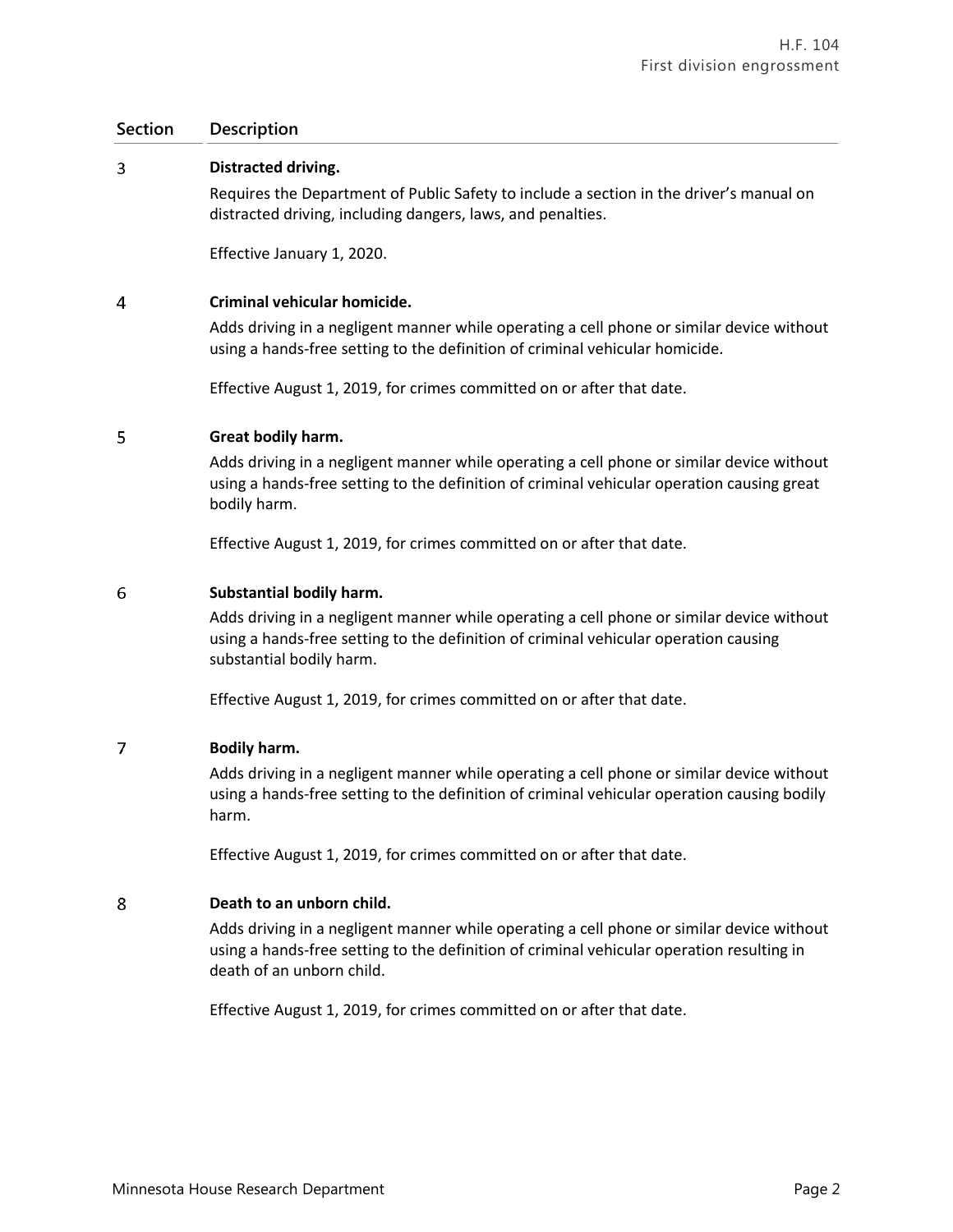## **Section Description**

#### 3 **Distracted driving.**

Requires the Department of Public Safety to include a section in the driver's manual on distracted driving, including dangers, laws, and penalties.

Effective January 1, 2020.

#### $\overline{4}$ **Criminal vehicular homicide.**

Adds driving in a negligent manner while operating a cell phone or similar device without using a hands-free setting to the definition of criminal vehicular homicide.

Effective August 1, 2019, for crimes committed on or after that date.

#### 5 **Great bodily harm.**

Adds driving in a negligent manner while operating a cell phone or similar device without using a hands-free setting to the definition of criminal vehicular operation causing great bodily harm.

Effective August 1, 2019, for crimes committed on or after that date.

#### 6 **Substantial bodily harm.**

Adds driving in a negligent manner while operating a cell phone or similar device without using a hands-free setting to the definition of criminal vehicular operation causing substantial bodily harm.

Effective August 1, 2019, for crimes committed on or after that date.

#### $\overline{7}$ **Bodily harm.**

Adds driving in a negligent manner while operating a cell phone or similar device without using a hands-free setting to the definition of criminal vehicular operation causing bodily harm.

Effective August 1, 2019, for crimes committed on or after that date.

#### 8 **Death to an unborn child.**

Adds driving in a negligent manner while operating a cell phone or similar device without using a hands-free setting to the definition of criminal vehicular operation resulting in death of an unborn child.

Effective August 1, 2019, for crimes committed on or after that date.